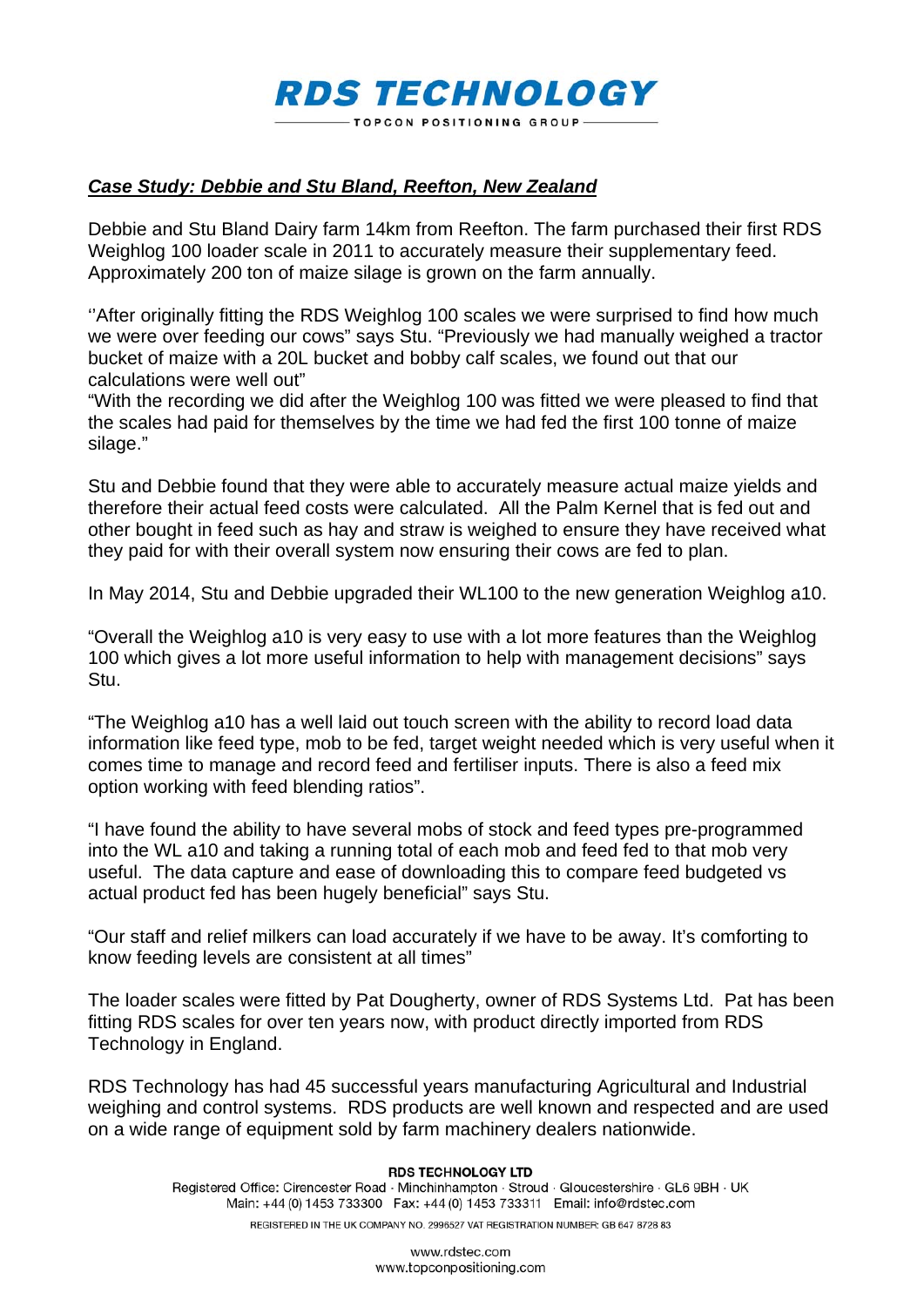## **RDS TECHNOLOGY TOPCON POSITIONING GROUP-**

## *Case Study: Debbie and Stu Bland, Reefton, New Zealand*

Debbie and Stu Bland Dairy farm 14km from Reefton. The farm purchased their first RDS Weighlog 100 loader scale in 2011 to accurately measure their supplementary feed. Approximately 200 ton of maize silage is grown on the farm annually.

''After originally fitting the RDS Weighlog 100 scales we were surprised to find how much we were over feeding our cows" says Stu. "Previously we had manually weighed a tractor bucket of maize with a 20L bucket and bobby calf scales, we found out that our calculations were well out"

"With the recording we did after the Weighlog 100 was fitted we were pleased to find that the scales had paid for themselves by the time we had fed the first 100 tonne of maize silage."

Stu and Debbie found that they were able to accurately measure actual maize yields and therefore their actual feed costs were calculated. All the Palm Kernel that is fed out and other bought in feed such as hay and straw is weighed to ensure they have received what they paid for with their overall system now ensuring their cows are fed to plan.

In May 2014, Stu and Debbie upgraded their WL100 to the new generation Weighlog a10.

"Overall the Weighlog a10 is very easy to use with a lot more features than the Weighlog 100 which gives a lot more useful information to help with management decisions" says Stu.

"The Weighlog a10 has a well laid out touch screen with the ability to record load data information like feed type, mob to be fed, target weight needed which is very useful when it comes time to manage and record feed and fertiliser inputs. There is also a feed mix option working with feed blending ratios".

"I have found the ability to have several mobs of stock and feed types pre-programmed into the WL a10 and taking a running total of each mob and feed fed to that mob very useful. The data capture and ease of downloading this to compare feed budgeted vs actual product fed has been hugely beneficial" says Stu.

"Our staff and relief milkers can load accurately if we have to be away. It's comforting to know feeding levels are consistent at all times"

The loader scales were fitted by Pat Dougherty, owner of RDS Systems Ltd. Pat has been fitting RDS scales for over ten years now, with product directly imported from RDS Technology in England.

RDS Technology has had 45 successful years manufacturing Agricultural and Industrial weighing and control systems. RDS products are well known and respected and are used on a wide range of equipment sold by farm machinery dealers nationwide.

## **RDS TECHNOLOGY LTD**

Registered Office: Cirencester Road · Minchinhampton · Stroud · Gloucestershire · GL6 9BH · UK Main: +44 (0) 1453 733300 Fax: +44 (0) 1453 733311 Email: info@rdstec.com REGISTERED IN THE UK COMPANY NO. 2996527 VAT REGISTRATION NUMBER: GB 647 8728 83

> www.rdstec.com www.topconpositioning.com